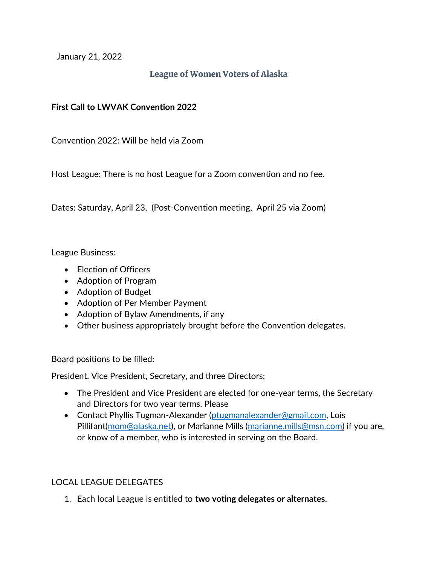January 21, 2022

## **League of Women Voters of Alaska**

## **First Call to LWVAK Convention 2022**

Convention 2022: Will be held via Zoom

Host League: There is no host League for a Zoom convention and no fee.

Dates: Saturday, April 23, (Post-Convention meeting, April 25 via Zoom)

League Business:

- Election of Officers
- Adoption of Program
- Adoption of Budget
- Adoption of Per Member Payment
- Adoption of Bylaw Amendments, if any
- Other business appropriately brought before the Convention delegates.

Board positions to be filled:

President, Vice President, Secretary, and three Directors;

- The President and Vice President are elected for one-year terms, the Secretary and Directors for two year terms. Please
- Contact Phyllis Tugman-Alexander [\(ptugmanalexander@gmail.com,](mailto:ptugmanalexander@gmail.com) Lois Pillifant[\(mom@alaska.net\)](mailto:mom@alaska.net), or Marianne Mills [\(marianne.mills@msn.com\)](mailto:marianne.mills@msn.com) if you are, or know of a member, who is interested in serving on the Board.

## LOCAL LEAGUE DELEGATES

1. Each local League is entitled to **two voting delegates or alternates**.